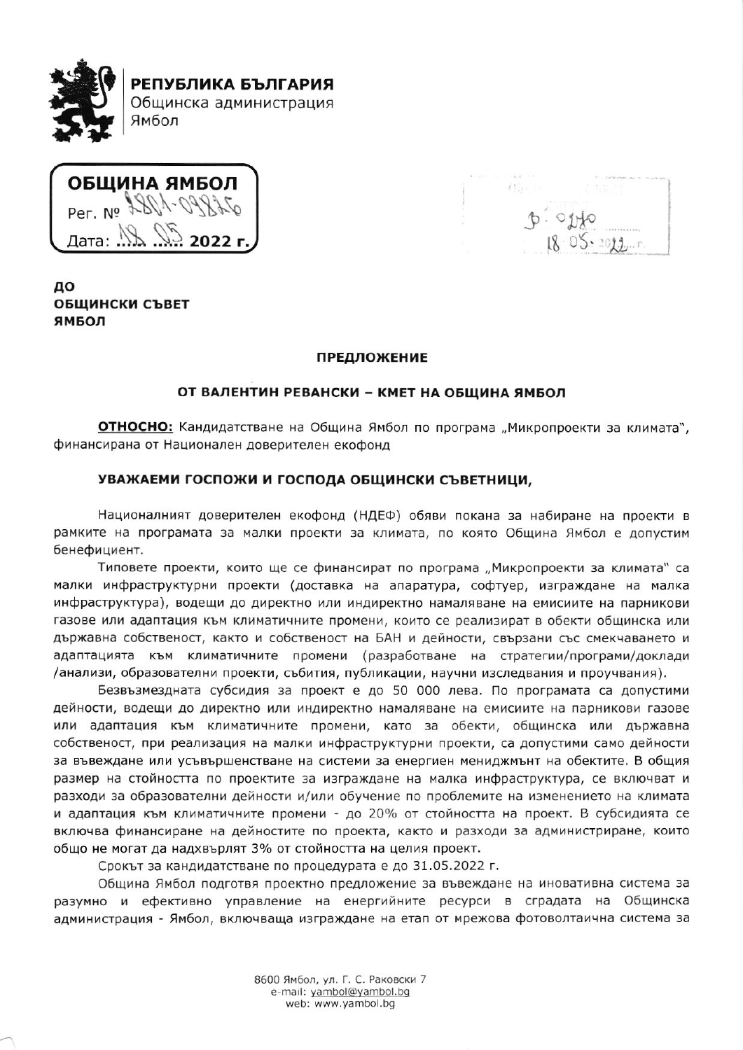

ОБЩИНА ЯМБОЛ Per. No 2801-0993 Дата:  $M$ 

 $\alpha_{\rm B}$  .  $P.$ osto

# до ОБЩИНСКИ СЪВЕТ ЯМБОЛ

# **ПРЕДЛОЖЕНИЕ**

# ОТ ВАЛЕНТИН РЕВАНСКИ - КМЕТ НА ОБЩИНА ЯМБОЛ

ОТНОСНО: Кандидатстване на Община Ямбол по програма "Микропроекти за климата", финансирана от Национален доверителен екофонд

### УВАЖАЕМИ ГОСПОЖИ И ГОСПОДА ОБЩИНСКИ СЪВЕТНИЦИ,

Националният доверителен екофонд (НДЕФ) обяви покана за набиране на проекти в рамките на програмата за малки проекти за климата, по която Община Ямбол е допустим бенефициент.

Типовете проекти, които ще се финансират по програма "Микропроекти за климата" са малки инфраструктурни проекти (доставка на апаратура, софтуер, изграждане на малка инфраструктура), водещи до директно или индиректно намаляване на емисиите на парникови газове или адаптация към климатичните промени, които се реализират в обекти общинска или държавна собственост, както и собственост на БАН и дейности, свързани със смекчаването и адаптацията към климатичните промени (разработване на стратегии/програми/доклади /анализи, образователни проекти, събития, публикации, научни изследвания и проучвания).

Безвъзмездната субсидия за проект е до 50 000 лева. По програмата са допустими дейности, водещи до директно или индиректно намаляване на емисиите на парникови газове или адаптация към климатичните промени, като за обекти, общинска или държавна собственост, при реализация на малки инфраструктурни проекти, са допустими само дейности за въвеждане или усъвършенстване на системи за енергиен мениджмънт на обектите. В общия размер на стойността по проектите за изграждане на малка инфраструктура, се включват и разходи за образователни дейности и/или обучение по проблемите на изменението на климата и адаптация към климатичните промени - до 20% от стойността на проект. В субсидията се включва финансиране на дейностите по проекта, както и разходи за администриране, които общо не могат да надхвърлят 3% от стойността на целия проект.

Срокът за кандидатстване по процедурата е до 31.05.2022 г.

Община Ямбол подготвя проектно предложение за въвеждане на иновативна система за разумно и ефективно управление на енергийните ресурси в сградата на Общинска администрация - Ямбол, включваща изграждане на етап от мрежова фотоволтаична система за